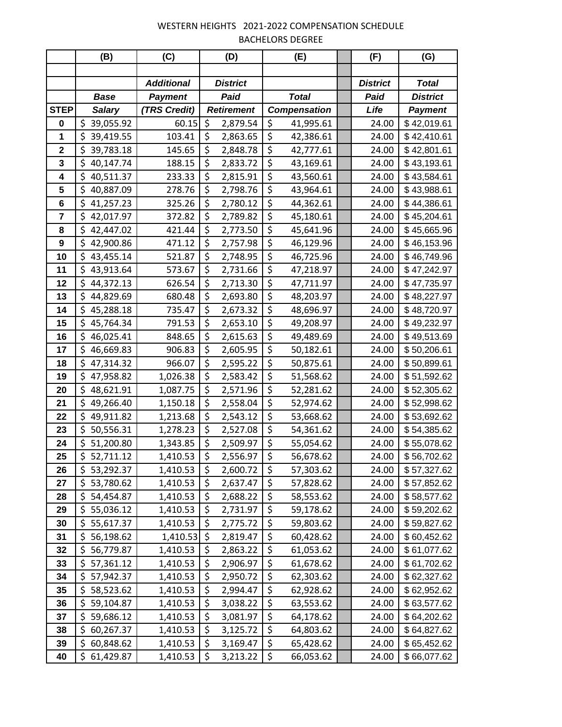|             | (B)              | (C)               |                        | (D)               |                                 | (E)                 | (F)             | (G)             |
|-------------|------------------|-------------------|------------------------|-------------------|---------------------------------|---------------------|-----------------|-----------------|
|             |                  |                   |                        |                   |                                 |                     |                 |                 |
|             |                  | <b>Additional</b> | <b>District</b>        |                   |                                 |                     | <b>District</b> | <b>Total</b>    |
|             | <b>Base</b>      | <b>Payment</b>    | Paid                   |                   | <b>Total</b>                    |                     | Paid            | <b>District</b> |
| <b>STEP</b> | <b>Salary</b>    | (TRS Credit)      |                        | <b>Retirement</b> |                                 | <b>Compensation</b> | Life            | <b>Payment</b>  |
| 0           | \$<br>39,055.92  | 60.15             | \$                     | 2,879.54          | \$                              | 41,995.61           | 24.00           | \$42,019.61     |
| 1           | \$<br>39,419.55  | 103.41            | \$                     | 2,863.65          | $\overline{\boldsymbol{\zeta}}$ | 42,386.61           | 24.00           | \$42,410.61     |
| $\mathbf 2$ | \$<br>39,783.18  | 145.65            | \$                     | 2,848.78          | \$                              | 42,777.61           | 24.00           | \$42,801.61     |
| 3           | \$<br>40,147.74  | 188.15            | \$                     | 2,833.72          | \$                              | 43,169.61           | 24.00           | \$43,193.61     |
| 4           | \$<br>40,511.37  | 233.33            | \$                     | 2,815.91          | \$                              | 43,560.61           | 24.00           | \$43,584.61     |
| 5           | \$<br>40,887.09  | 278.76            | \$                     | 2,798.76          | \$                              | 43,964.61           | 24.00           | \$43,988.61     |
| 6           | \$<br>41,257.23  | 325.26            | \$                     | 2,780.12          | $\overline{\boldsymbol{\zeta}}$ | 44,362.61           | 24.00           | \$44,386.61     |
| 7           | \$<br>42,017.97  | 372.82            | \$                     | 2,789.82          | \$                              | 45,180.61           | 24.00           | \$45,204.61     |
| 8           | \$<br>42,447.02  | 421.44            | \$                     | 2,773.50          | \$                              | 45,641.96           | 24.00           | \$45,665.96     |
| 9           | \$<br>42,900.86  | 471.12            | \$                     | 2,757.98          | \$                              | 46,129.96           | 24.00           | \$46,153.96     |
| 10          | \$<br>43,455.14  | 521.87            | \$                     | 2,748.95          | \$                              | 46,725.96           | 24.00           | \$46,749.96     |
| 11          | \$<br>43,913.64  | 573.67            | \$                     | 2,731.66          | \$                              | 47,218.97           | 24.00           | \$47,242.97     |
| 12          | \$<br>44,372.13  | 626.54            | \$                     | 2,713.30          | \$                              | 47,711.97           | 24.00           | \$47,735.97     |
| 13          | \$<br>44,829.69  | 680.48            | \$                     | 2,693.80          | \$                              | 48,203.97           | 24.00           | \$48,227.97     |
| 14          | \$<br>45,288.18  | 735.47            | \$                     | 2,673.32          | $\overline{\xi}$                | 48,696.97           | 24.00           | \$48,720.97     |
| 15          | \$<br>45,764.34  | 791.53            | \$                     | 2,653.10          | \$                              | 49,208.97           | 24.00           | \$49,232.97     |
| 16          | \$<br>46,025.41  | 848.65            | \$                     | 2,615.63          | \$                              | 49,489.69           | 24.00           | \$49,513.69     |
| 17          | \$<br>46,669.83  | 906.83            | \$                     | 2,605.95          | \$                              | 50,182.61           | 24.00           | \$50,206.61     |
| 18          | \$<br>47,314.32  | 966.07            | \$                     | 2,595.22          | \$                              | 50,875.61           | 24.00           | \$50,899.61     |
| 19          | \$<br>47,958.82  | 1,026.38          | \$                     | 2,583.42          | \$                              | 51,568.62           | 24.00           | \$51,592.62     |
| 20          | \$<br>48,621.91  | 1,087.75          | \$                     | 2,571.96          | $\overline{\xi}$                | 52,281.62           | 24.00           | \$52,305.62     |
| 21          | \$<br>49,266.40  | 1,150.18          | \$                     | 2,558.04          | \$                              | 52,974.62           | 24.00           | \$52,998.62     |
| 22          | \$<br>49,911.82  | 1,213.68          | \$                     | 2,543.12          | \$                              | 53,668.62           | 24.00           | \$53,692.62     |
| 23          | \$<br>50,556.31  | 1,278.23          | \$                     | 2,527.08          | \$                              | 54,361.62           | 24.00           | \$54,385.62     |
| 24          | \$<br>51,200.80  | 1,343.85          | \$                     | 2,509.97          | \$                              | 55,054.62           | 24.00           | \$55,078.62     |
| 25          | \$52,711.12      | 1,410.53          | $\overline{\varsigma}$ | 2,556.97          | \$                              | 56,678.62           | 24.00           | \$56,702.62     |
| 26          | \$.<br>53,292.37 | 1,410.53          | \$                     | 2,600.72          | \$                              | 57,303.62           | 24.00           | \$57,327.62     |
| 27          | \$<br>53,780.62  | 1,410.53          | \$                     | 2,637.47          | \$                              | 57,828.62           | 24.00           | \$57,852.62     |
| 28          | \$<br>54,454.87  | 1,410.53          | \$                     | 2,688.22          | \$                              | 58,553.62           | 24.00           | \$58,577.62     |
| 29          | \$<br>55,036.12  | 1,410.53          | \$                     | 2,731.97          | \$                              | 59,178.62           | 24.00           | \$59,202.62     |
| 30          | \$<br>55,617.37  | 1,410.53          | \$                     | 2,775.72          | \$                              | 59,803.62           | 24.00           | \$59,827.62     |
| 31          | \$<br>56,198.62  | 1,410.53          | \$                     | 2,819.47          | \$                              | 60,428.62           | 24.00           | \$60,452.62     |
| 32          | \$<br>56,779.87  | 1,410.53          | \$                     | 2,863.22          | \$                              | 61,053.62           | 24.00           | \$61,077.62     |
| 33          | \$<br>57,361.12  | 1,410.53          | \$                     | 2,906.97          | \$                              | 61,678.62           | 24.00           | \$61,702.62     |
| 34          | \$<br>57,942.37  | 1,410.53          | \$                     | 2,950.72          | \$                              | 62,303.62           | 24.00           | \$62,327.62     |
| 35          | \$<br>58,523.62  | 1,410.53          | \$                     | 2,994.47          | \$                              | 62,928.62           | 24.00           | \$62,952.62     |
| 36          | \$<br>59,104.87  | 1,410.53          | \$                     | 3,038.22          | \$                              | 63,553.62           | 24.00           | \$63,577.62     |
| 37          | \$<br>59,686.12  | 1,410.53          | \$                     | 3,081.97          | \$                              | 64,178.62           | 24.00           | \$64,202.62     |
| 38          | \$<br>60,267.37  | 1,410.53          | \$                     | 3,125.72          | \$                              | 64,803.62           | 24.00           | \$64,827.62     |
| 39          | \$<br>60,848.62  | 1,410.53          | \$                     | 3,169.47          | $\overline{\xi}$                | 65,428.62           | 24.00           | \$65,452.62     |
| 40          | \$<br>61,429.87  | 1,410.53          | \$                     | 3,213.22          | \$                              | 66,053.62           | 24.00           | \$66,077.62     |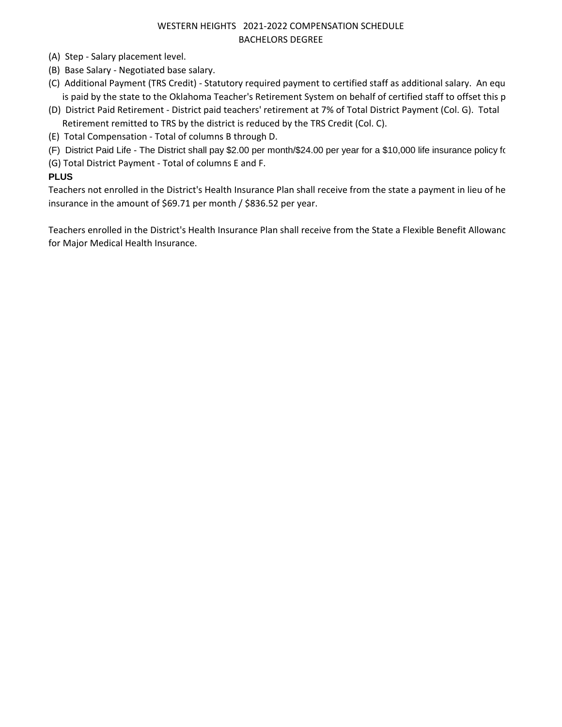- (A) Step Salary placement level.
- (B) Base Salary Negotiated base salary.
- (C) Additional Payment (TRS Credit) Statutory required payment to certified staff as additional salary. An equ is paid by the state to the Oklahoma Teacher's Retirement System on behalf of certified staff to offset this p
- (D) District Paid Retirement District paid teachers' retirement at 7% of Total District Payment (Col. G). Total Retirement remitted to TRS by the district is reduced by the TRS Credit (Col. C).
- (E) Total Compensation Total of columns B through D.
- (F) District Paid Life The District shall pay \$2.00 per month/\$24.00 per year for a \$10,000 life insurance policy for
- (G) Total District Payment Total of columns E and F.

### **PLUS**

Teachers not enrolled in the District's Health Insurance Plan shall receive from the state a payment in lieu of he insurance in the amount of \$69.71 per month / \$836.52 per year.

Teachers enrolled in the District's Health Insurance Plan shall receive from the State a Flexible Benefit Allowanc for Major Medical Health Insurance.